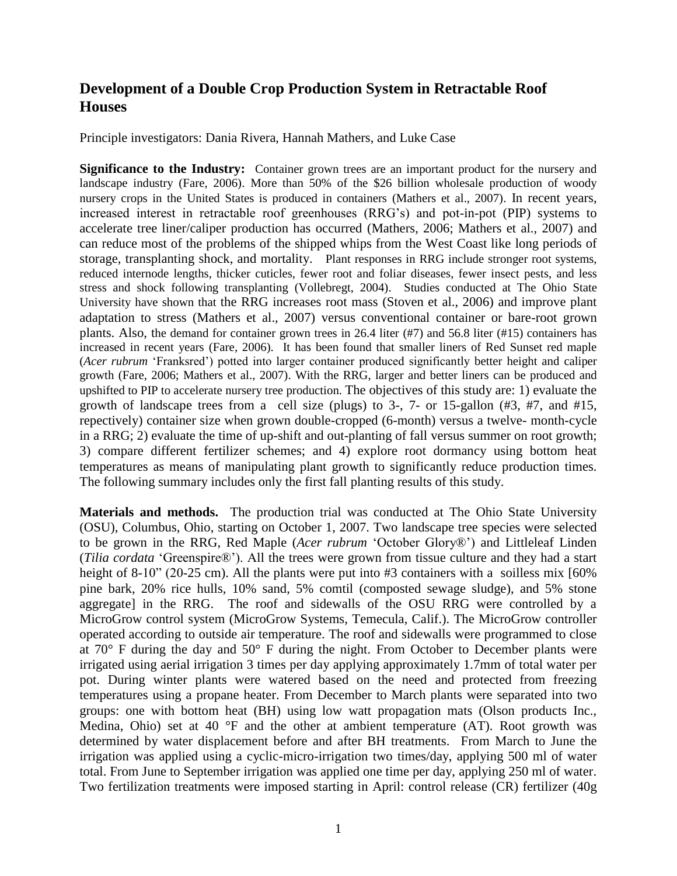## **Development of a Double Crop Production System in Retractable Roof Houses**

Principle investigators: Dania Rivera, Hannah Mathers, and Luke Case

**Significance to the Industry:** Container grown trees are an important product for the nursery and landscape industry (Fare, 2006). More than 50% of the \$26 billion wholesale production of woody nursery crops in the United States is produced in containers (Mathers et al., 2007). In recent years, increased interest in retractable roof greenhouses (RRG's) and pot-in-pot (PIP) systems to accelerate tree liner/caliper production has occurred (Mathers, 2006; Mathers et al., 2007) and can reduce most of the problems of the shipped whips from the West Coast like long periods of storage, transplanting shock, and mortality. Plant responses in RRG include stronger root systems, reduced internode lengths, thicker cuticles, fewer root and foliar diseases, fewer insect pests, and less stress and shock following transplanting (Vollebregt, 2004). Studies conducted at The Ohio State University have shown that the RRG increases root mass (Stoven et al., 2006) and improve plant adaptation to stress (Mathers et al., 2007) versus conventional container or bare-root grown plants. Also, the demand for container grown trees in 26.4 liter (#7) and 56.8 liter (#15) containers has increased in recent years (Fare, 2006). It has been found that smaller liners of Red Sunset red maple (*Acer rubrum* 'Franksred') potted into larger container produced significantly better height and caliper growth (Fare, 2006; Mathers et al., 2007). With the RRG, larger and better liners can be produced and upshifted to PIP to accelerate nursery tree production. The objectives of this study are: 1) evaluate the growth of landscape trees from a cell size (plugs) to 3-, 7- or 15-gallon (#3, #7, and #15, repectively) container size when grown double-cropped (6-month) versus a twelve- month-cycle in a RRG; 2) evaluate the time of up-shift and out-planting of fall versus summer on root growth; 3) compare different fertilizer schemes; and 4) explore root dormancy using bottom heat temperatures as means of manipulating plant growth to significantly reduce production times. The following summary includes only the first fall planting results of this study.

**Materials and methods.** The production trial was conducted at The Ohio State University (OSU), Columbus, Ohio, starting on October 1, 2007. Two landscape tree species were selected to be grown in the RRG, Red Maple (*Acer rubrum* 'October Glory®') and Littleleaf Linden (*Tilia cordata* 'Greenspire®'). All the trees were grown from tissue culture and they had a start height of 8-10" (20-25 cm). All the plants were put into #3 containers with a soilless mix [60% pine bark, 20% rice hulls, 10% sand, 5% comtil (composted sewage sludge), and 5% stone aggregate] in the RRG. The roof and sidewalls of the OSU RRG were controlled by a MicroGrow control system (MicroGrow Systems, Temecula, Calif.). The MicroGrow controller operated according to outside air temperature. The roof and sidewalls were programmed to close at 70° F during the day and 50° F during the night. From October to December plants were irrigated using aerial irrigation 3 times per day applying approximately 1.7mm of total water per pot. During winter plants were watered based on the need and protected from freezing temperatures using a propane heater. From December to March plants were separated into two groups: one with bottom heat (BH) using low watt propagation mats (Olson products Inc., Medina, Ohio) set at 40 °F and the other at ambient temperature (AT). Root growth was determined by water displacement before and after BH treatments. From March to June the irrigation was applied using a cyclic-micro-irrigation two times/day, applying 500 ml of water total. From June to September irrigation was applied one time per day, applying 250 ml of water. Two fertilization treatments were imposed starting in April: control release (CR) fertilizer (40g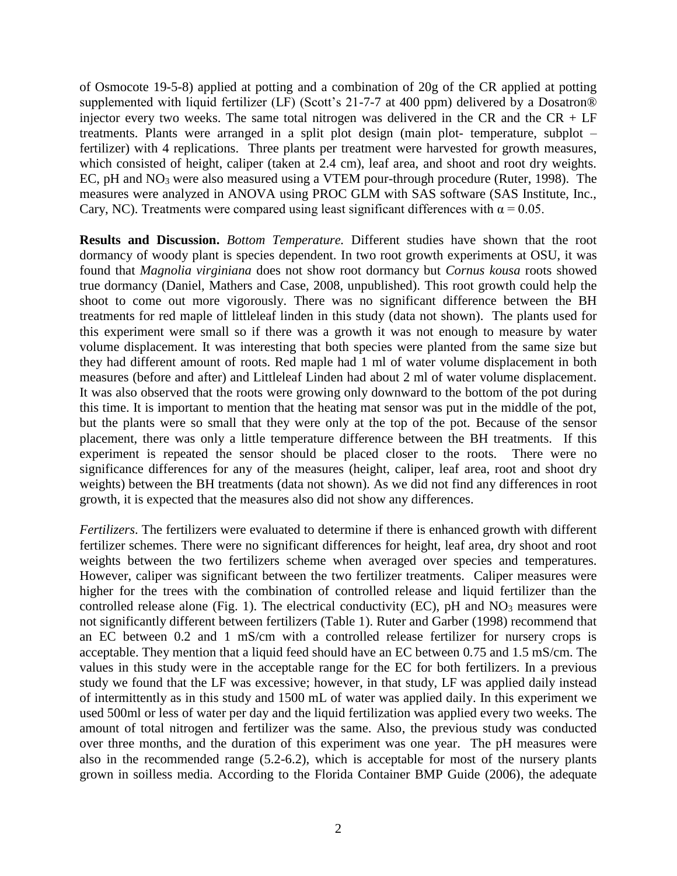of Osmocote 19-5-8) applied at potting and a combination of 20g of the CR applied at potting supplemented with liquid fertilizer (LF) (Scott's 21-7-7 at 400 ppm) delivered by a Dosatron® injector every two weeks. The same total nitrogen was delivered in the CR and the  $CR + LF$ treatments. Plants were arranged in a split plot design (main plot- temperature, subplot – fertilizer) with 4 replications. Three plants per treatment were harvested for growth measures, which consisted of height, caliper (taken at 2.4 cm), leaf area, and shoot and root dry weights. EC, pH and NO<sup>3</sup> were also measured using a VTEM pour-through procedure (Ruter, 1998). The measures were analyzed in ANOVA using PROC GLM with SAS software (SAS Institute, Inc., Cary, NC). Treatments were compared using least significant differences with  $\alpha = 0.05$ .

**Results and Discussion.** *Bottom Temperature.* Different studies have shown that the root dormancy of woody plant is species dependent. In two root growth experiments at OSU, it was found that *Magnolia virginiana* does not show root dormancy but *Cornus kousa* roots showed true dormancy (Daniel, Mathers and Case, 2008, unpublished). This root growth could help the shoot to come out more vigorously. There was no significant difference between the BH treatments for red maple of littleleaf linden in this study (data not shown). The plants used for this experiment were small so if there was a growth it was not enough to measure by water volume displacement. It was interesting that both species were planted from the same size but they had different amount of roots. Red maple had 1 ml of water volume displacement in both measures (before and after) and Littleleaf Linden had about 2 ml of water volume displacement. It was also observed that the roots were growing only downward to the bottom of the pot during this time. It is important to mention that the heating mat sensor was put in the middle of the pot, but the plants were so small that they were only at the top of the pot. Because of the sensor placement, there was only a little temperature difference between the BH treatments. If this experiment is repeated the sensor should be placed closer to the roots. There were no significance differences for any of the measures (height, caliper, leaf area, root and shoot dry weights) between the BH treatments (data not shown). As we did not find any differences in root growth, it is expected that the measures also did not show any differences.

*Fertilizers*. The fertilizers were evaluated to determine if there is enhanced growth with different fertilizer schemes. There were no significant differences for height, leaf area, dry shoot and root weights between the two fertilizers scheme when averaged over species and temperatures. However, caliper was significant between the two fertilizer treatments. Caliper measures were higher for the trees with the combination of controlled release and liquid fertilizer than the controlled release alone (Fig. 1). The electrical conductivity (EC),  $pH$  and  $NO<sub>3</sub>$  measures were not significantly different between fertilizers (Table 1). Ruter and Garber (1998) recommend that an EC between 0.2 and 1 mS/cm with a controlled release fertilizer for nursery crops is acceptable. They mention that a liquid feed should have an EC between 0.75 and 1.5 mS/cm. The values in this study were in the acceptable range for the EC for both fertilizers. In a previous study we found that the LF was excessive; however, in that study, LF was applied daily instead of intermittently as in this study and 1500 mL of water was applied daily. In this experiment we used 500ml or less of water per day and the liquid fertilization was applied every two weeks. The amount of total nitrogen and fertilizer was the same. Also, the previous study was conducted over three months, and the duration of this experiment was one year. The pH measures were also in the recommended range (5.2-6.2), which is acceptable for most of the nursery plants grown in soilless media. According to the Florida Container BMP Guide (2006), the adequate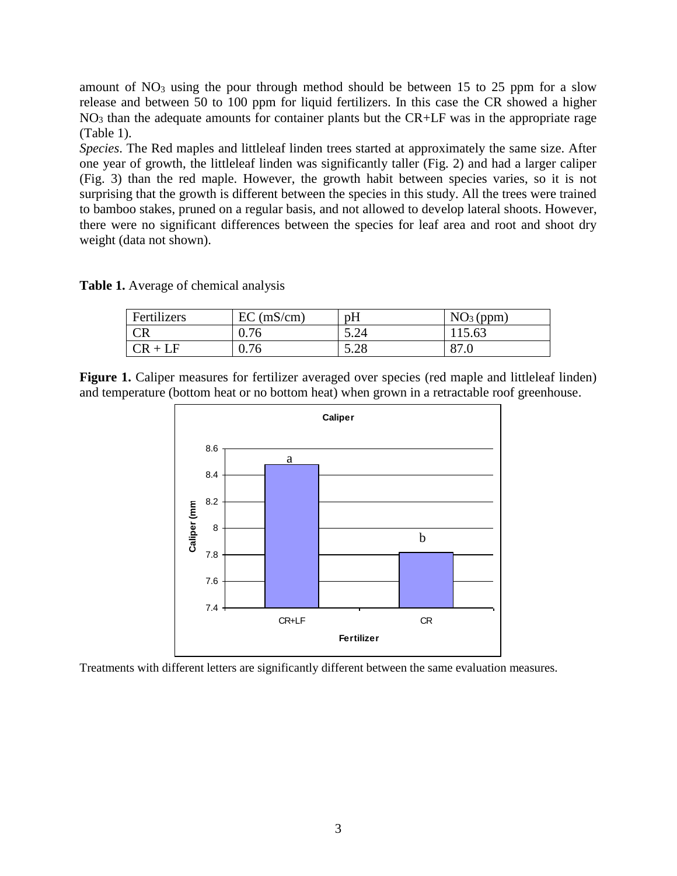amount of  $NO<sub>3</sub>$  using the pour through method should be between 15 to 25 ppm for a slow release and between 50 to 100 ppm for liquid fertilizers. In this case the CR showed a higher  $NO<sub>3</sub>$  than the adequate amounts for container plants but the CR+LF was in the appropriate rage (Table 1).

*Species*. The Red maples and littleleaf linden trees started at approximately the same size. After one year of growth, the littleleaf linden was significantly taller (Fig. 2) and had a larger caliper (Fig. 3) than the red maple. However, the growth habit between species varies, so it is not surprising that the growth is different between the species in this study. All the trees were trained to bamboo stakes, pruned on a regular basis, and not allowed to develop lateral shoots. However, there were no significant differences between the species for leaf area and root and shoot dry weight (data not shown).

**Table 1.** Average of chemical analysis

| Fertilizers | $EC$ (mS/cm) | pH   | $NO3$ (ppm) |
|-------------|--------------|------|-------------|
| CR          | 0.76         | 5.24 | 115.63      |
| $CR + LF$   | 0.76         | 5.28 | 87.0        |

Figure 1. Caliper measures for fertilizer averaged over species (red maple and littleleaf linden) and temperature (bottom heat or no bottom heat) when grown in a retractable roof greenhouse.



Treatments with different letters are significantly different between the same evaluation measures.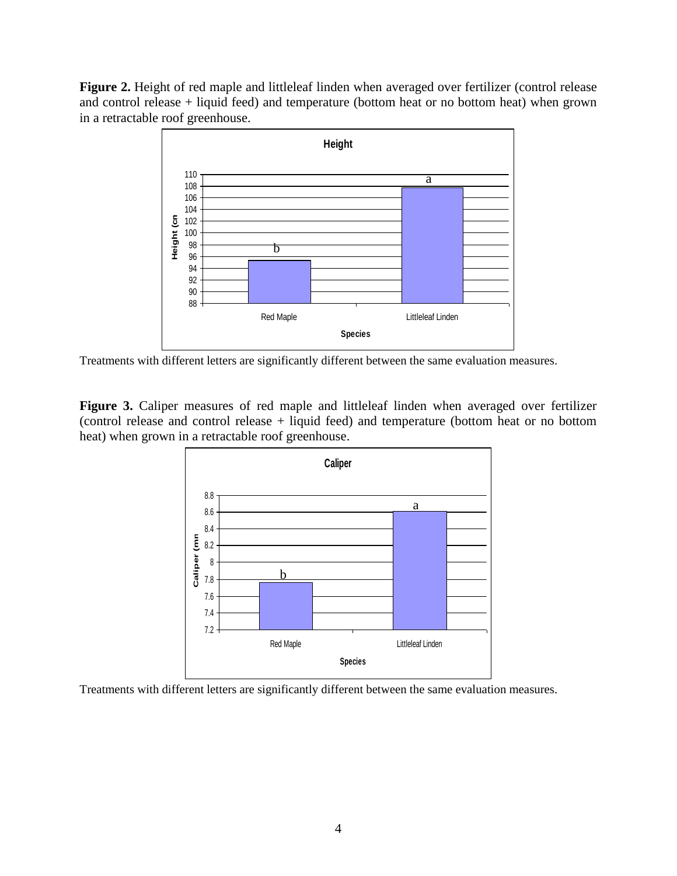**Figure 2.** Height of red maple and littleleaf linden when averaged over fertilizer (control release and control release + liquid feed) and temperature (bottom heat or no bottom heat) when grown in a retractable roof greenhouse.



Treatments with different letters are significantly different between the same evaluation measures.

Figure 3. Caliper measures of red maple and littleleaf linden when averaged over fertilizer (control release and control release + liquid feed) and temperature (bottom heat or no bottom heat) when grown in a retractable roof greenhouse.



Treatments with different letters are significantly different between the same evaluation measures.